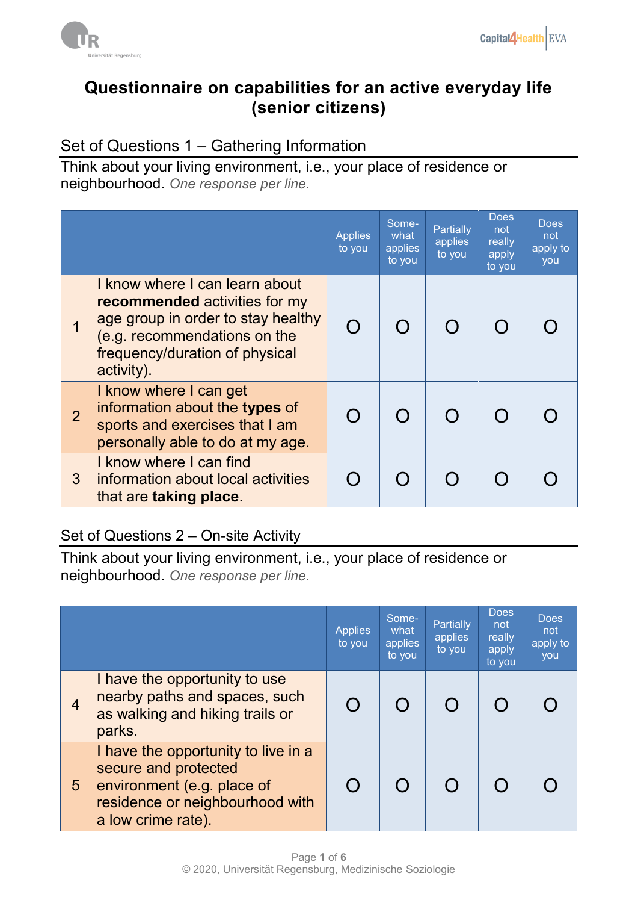

#### **Questionnaire on capabilities for an active everyday life (senior citizens)**

#### Set of Questions 1 – Gathering Information

Think about your living environment, i.e., your place of residence or neighbourhood. *One response per line.* 

|                |                                                                                                                                                                                              | <b>Applies</b><br>to you | Some-<br>what<br>applies<br>to you | <b>Partially</b><br>applies<br>to you | <b>Does</b><br>not<br>really<br>apply<br>to you | <b>Does</b><br>not<br>apply to<br>you |
|----------------|----------------------------------------------------------------------------------------------------------------------------------------------------------------------------------------------|--------------------------|------------------------------------|---------------------------------------|-------------------------------------------------|---------------------------------------|
|                | I know where I can learn about<br><b>recommended</b> activities for my<br>age group in order to stay healthy<br>(e.g. recommendations on the<br>frequency/duration of physical<br>activity). |                          |                                    |                                       |                                                 |                                       |
| $\overline{2}$ | I know where I can get<br>information about the types of<br>sports and exercises that I am<br>personally able to do at my age.                                                               |                          |                                    |                                       |                                                 |                                       |
| 3              | I know where I can find<br>information about local activities<br>that are taking place.                                                                                                      |                          |                                    |                                       |                                                 |                                       |

#### Set of Questions 2 – On-site Activity

Think about your living environment, i.e., your place of residence or neighbourhood. *One response per line.* 

|                |                                                                                                                                                    | <b>Applies</b><br>to you | Some-<br>what<br>applies<br>to you | <b>Partially</b><br>applies<br>to you | <b>Does</b><br>not<br>really<br>apply<br>to you | <b>Does</b><br>not<br>apply to<br>you |
|----------------|----------------------------------------------------------------------------------------------------------------------------------------------------|--------------------------|------------------------------------|---------------------------------------|-------------------------------------------------|---------------------------------------|
| $\overline{4}$ | I have the opportunity to use<br>nearby paths and spaces, such<br>as walking and hiking trails or<br>parks.                                        |                          |                                    |                                       |                                                 |                                       |
| 5              | I have the opportunity to live in a<br>secure and protected<br>environment (e.g. place of<br>residence or neighbourhood with<br>a low crime rate). |                          |                                    |                                       |                                                 |                                       |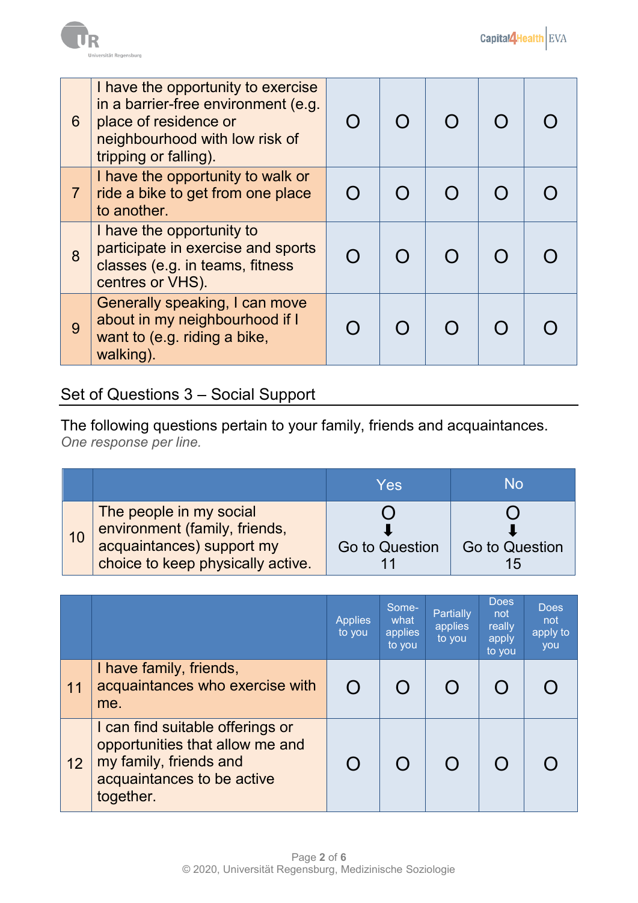

| 6              | I have the opportunity to exercise<br>in a barrier-free environment (e.g.<br>place of residence or<br>neighbourhood with low risk of<br>tripping or falling). |  |  |  |
|----------------|---------------------------------------------------------------------------------------------------------------------------------------------------------------|--|--|--|
| $\overline{7}$ | I have the opportunity to walk or<br>ride a bike to get from one place<br>to another.                                                                         |  |  |  |
| 8              | I have the opportunity to<br>participate in exercise and sports<br>classes (e.g. in teams, fitness<br>centres or VHS).                                        |  |  |  |
| 9              | Generally speaking, I can move<br>about in my neighbourhood if I<br>want to (e.g. riding a bike,<br>walking).                                                 |  |  |  |

## Set of Questions 3 – Social Support

The following questions pertain to your family, friends and acquaintances. *One response per line.*

|                                                                                                                            | Yes            | No             |
|----------------------------------------------------------------------------------------------------------------------------|----------------|----------------|
| The people in my social<br>environment (family, friends,<br>acquaintances) support my<br>choice to keep physically active. | Go to Question | Go to Question |

|                   |                                                                                                                                          | <b>Applies</b><br>to you | Some-<br>what<br>applies<br>to you | <b>Partially</b><br>applies<br>to you | <b>Does</b><br>not<br>really<br>apply<br>to you | <b>Does</b><br>not<br>apply to<br>you |
|-------------------|------------------------------------------------------------------------------------------------------------------------------------------|--------------------------|------------------------------------|---------------------------------------|-------------------------------------------------|---------------------------------------|
| $\vert$ 11        | I have family, friends,<br>acquaintances who exercise with<br>me.                                                                        | $\bigcap$                |                                    |                                       |                                                 |                                       |
| $12 \overline{ }$ | I can find suitable offerings or<br>opportunities that allow me and<br>my family, friends and<br>acquaintances to be active<br>together. |                          |                                    |                                       |                                                 |                                       |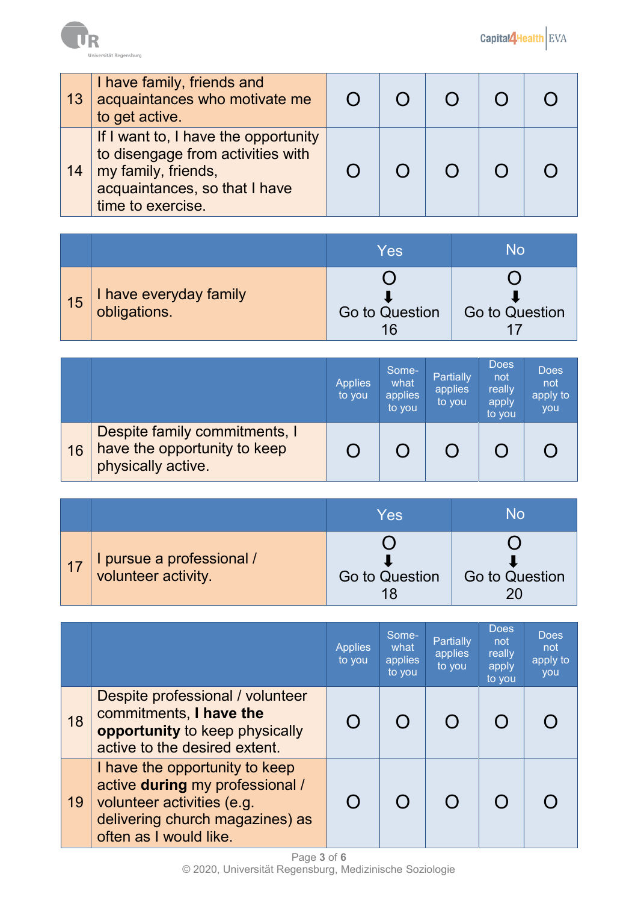

| 13 | I have family, friends and<br>acquaintances who motivate me<br>to get active.                                                                          |  |  |  |
|----|--------------------------------------------------------------------------------------------------------------------------------------------------------|--|--|--|
| 14 | If I want to, I have the opportunity<br>to disengage from activities with<br>my family, friends,<br>acquaintances, so that I have<br>time to exercise. |  |  |  |

|            |                                        | Yes            | No             |
|------------|----------------------------------------|----------------|----------------|
| $\vert$ 15 | I have everyday family<br>obligations. | Go to Question | Go to Question |

|    |                                                                                     | <b>Applies</b><br>to you | Some-<br>what<br>applies<br>to you | Partially<br>applies<br>to you | <b>Does</b><br>not<br>really<br>apply<br>to you | <b>Does</b><br>not<br>apply to<br><b>VOU</b> |
|----|-------------------------------------------------------------------------------------|--------------------------|------------------------------------|--------------------------------|-------------------------------------------------|----------------------------------------------|
| 16 | Despite family commitments, I<br>have the opportunity to keep<br>physically active. |                          |                                    |                                |                                                 |                                              |

|       |                                                  | Yes            | No             |
|-------|--------------------------------------------------|----------------|----------------|
| $-17$ | I pursue a professional /<br>volunteer activity. |                |                |
|       |                                                  | Go to Question | Go to Question |

|    |                                                                                                                                                              | <b>Applies</b><br>to you | Some-<br>what<br>applies<br>to you | <b>Partially</b><br>applies<br>to you | <b>Does</b><br>not<br>really<br>apply<br>to you | <b>Does</b><br>not<br>apply to<br>you |
|----|--------------------------------------------------------------------------------------------------------------------------------------------------------------|--------------------------|------------------------------------|---------------------------------------|-------------------------------------------------|---------------------------------------|
| 18 | Despite professional / volunteer<br>commitments, I have the<br>opportunity to keep physically<br>active to the desired extent.                               |                          |                                    |                                       |                                                 |                                       |
| 19 | I have the opportunity to keep<br>active during my professional /<br>volunteer activities (e.g.<br>delivering church magazines) as<br>often as I would like. |                          |                                    |                                       |                                                 |                                       |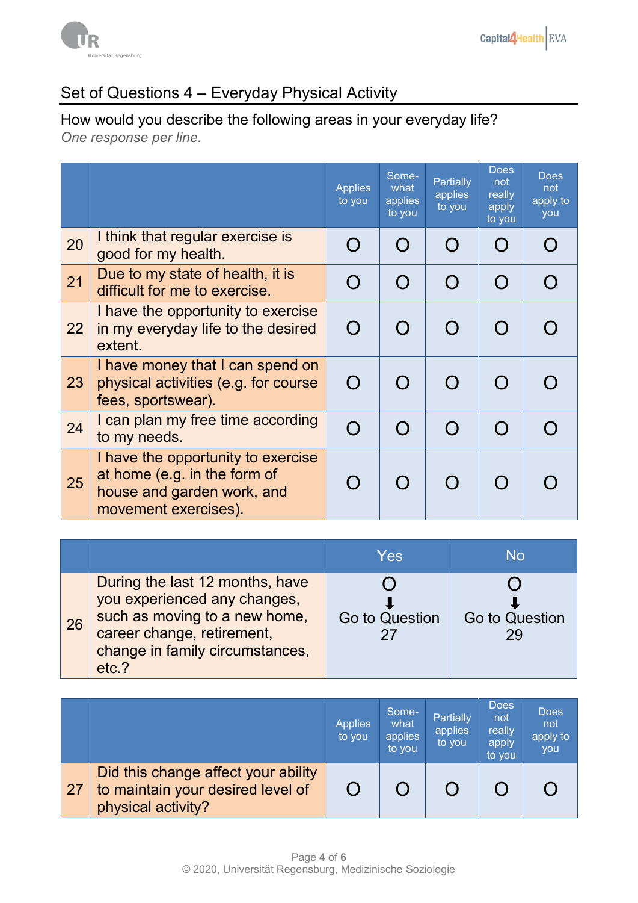

## Set of Questions 4 – Everyday Physical Activity

# How would you describe the following areas in your everyday life?

*One response per line.*

|    |                                                                                                                          | <b>Applies</b><br>to you | Some-<br>what<br>applies<br>to you | <b>Partially</b><br>applies<br>to you | <b>Does</b><br>not<br>really<br>apply<br>to you | Does<br>not<br>apply to<br>you |
|----|--------------------------------------------------------------------------------------------------------------------------|--------------------------|------------------------------------|---------------------------------------|-------------------------------------------------|--------------------------------|
| 20 | I think that regular exercise is<br>good for my health.                                                                  |                          | $\bigcap$                          |                                       | $\bigcap$                                       |                                |
| 21 | Due to my state of health, it is<br>difficult for me to exercise.                                                        |                          | $\Omega$                           |                                       | $\bigcap$                                       |                                |
| 22 | I have the opportunity to exercise<br>in my everyday life to the desired<br>extent.                                      |                          | $\Omega$                           |                                       | $\bigcap$                                       |                                |
| 23 | I have money that I can spend on<br>physical activities (e.g. for course<br>fees, sportswear).                           | $\Omega$                 |                                    |                                       | $\cap$                                          |                                |
| 24 | I can plan my free time according<br>to my needs.                                                                        | $\bigcap$                | $\cap$                             |                                       | $\bigcap$                                       |                                |
| 25 | I have the opportunity to exercise<br>at home (e.g. in the form of<br>house and garden work, and<br>movement exercises). |                          |                                    |                                       |                                                 |                                |

|    |                                                                                                                                                                            | Yes            | No                   |
|----|----------------------------------------------------------------------------------------------------------------------------------------------------------------------------|----------------|----------------------|
| 26 | During the last 12 months, have<br>you experienced any changes,<br>such as moving to a new home,<br>career change, retirement,<br>change in family circumstances,<br>etc.? | Go to Question | Go to Question<br>29 |

|                 |                                                                                                | <b>Applies</b><br>to you | Some-<br>what<br>applies<br>to you | Partially<br>applies<br>to you | <b>Does</b><br>not<br>really<br>apply<br>to you | <b>Does</b><br>not<br>apply to<br>you |
|-----------------|------------------------------------------------------------------------------------------------|--------------------------|------------------------------------|--------------------------------|-------------------------------------------------|---------------------------------------|
| $\overline{27}$ | Did this change affect your ability<br>to maintain your desired level of<br>physical activity? |                          |                                    |                                |                                                 |                                       |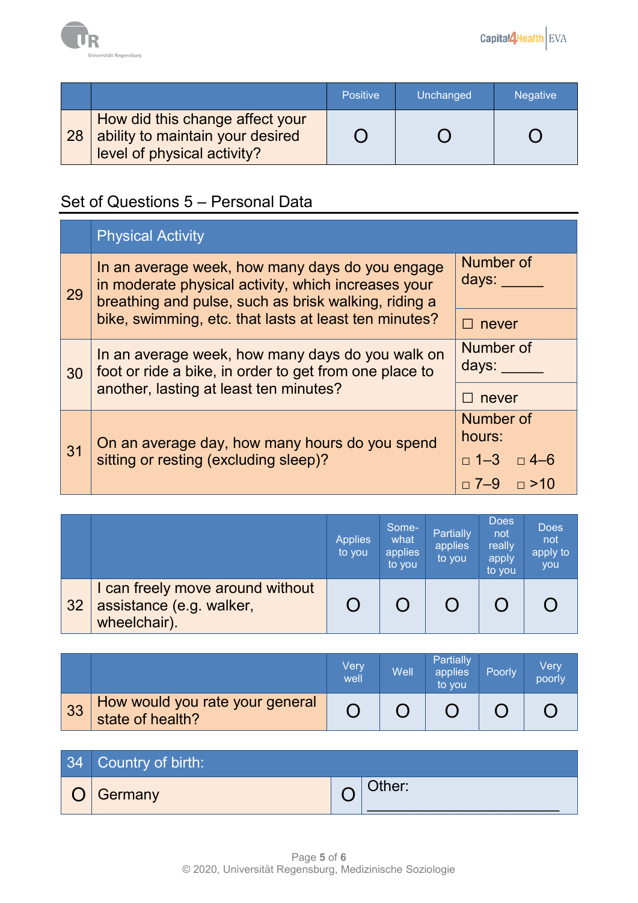

|    |                                                                                                    | <b>Positive</b> | Unchanged | <b>Negative</b> |
|----|----------------------------------------------------------------------------------------------------|-----------------|-----------|-----------------|
| 28 | How did this change affect your<br>ability to maintain your desired<br>level of physical activity? |                 |           |                 |

### Set of Questions 5 – Personal Data

|    | <b>Physical Activity</b>                                                                                                                                       |                       |
|----|----------------------------------------------------------------------------------------------------------------------------------------------------------------|-----------------------|
| 29 | In an average week, how many days do you engage<br>in moderate physical activity, which increases your<br>breathing and pulse, such as brisk walking, riding a | Number of<br>days:    |
|    | bike, swimming, etc. that lasts at least ten minutes?                                                                                                          | never                 |
| 30 | In an average week, how many days do you walk on<br>foot or ride a bike, in order to get from one place to                                                     | Number of<br>days:    |
|    | another, lasting at least ten minutes?                                                                                                                         | never                 |
|    |                                                                                                                                                                | Number of<br>hours:   |
| 31 | On an average day, how many hours do you spend<br>sitting or resting (excluding sleep)?                                                                        | $\Box$ 1-3 $\Box$ 4-6 |
|    |                                                                                                                                                                | $\Box$ 7–9 $\Box$ >10 |

|    |                                                                              | <b>Applies</b><br>to you | Some-<br>what<br>applies<br>to you | <b>Partially</b><br>applies<br>to you | Does<br>not<br>really<br>apply<br>to you | <b>Does</b><br>not<br>apply to<br>you |
|----|------------------------------------------------------------------------------|--------------------------|------------------------------------|---------------------------------------|------------------------------------------|---------------------------------------|
| 32 | I can freely move around without<br>assistance (e.g. walker,<br>wheelchair). |                          |                                    |                                       |                                          |                                       |

|    |                                                     | Very<br>well | Well | Partially<br>applies<br>to you | Poorly | Verv<br>poorly |
|----|-----------------------------------------------------|--------------|------|--------------------------------|--------|----------------|
| 33 | How would you rate your general<br>state of health? |              |      |                                |        |                |

| 34 Country of birth: |        |
|----------------------|--------|
| Germany              | Other: |